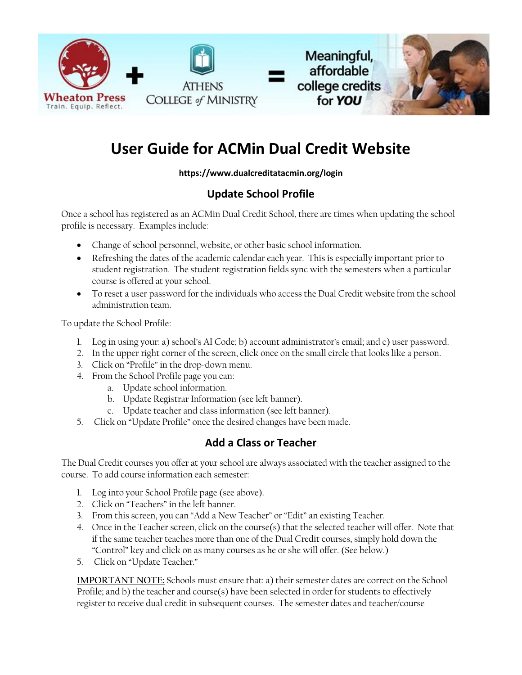



# **User Guide for ACMin Dual Credit Website**

#### **https://www.dualcreditatacmin.org/login**

## **Update School Profile**

Once a school has registered as an ACMin Dual Credit School, there are times when updating the school profile is necessary. Examples include:

- Change of school personnel, website, or other basic school information.
- Refreshing the dates of the academic calendar each year. This is especially important prior to student registration. The student registration fields sync with the semesters when a particular course is offered at your school.
- To reset a user password for the individuals who access the Dual Credit website from the school administration team.

To update the School Profile:

- 1. Log in using your: a) school's AI Code; b) account administrator's email; and c) user password.
- 2. In the upper right corner of the screen, click once on the small circle that looks like a person.
- 3. Click on "Profile" in the drop-down menu.
- 4. From the School Profile page you can:
	- a. Update school information.
	- b. Update Registrar Information (see left banner).
	- c. Update teacher and class information (see left banner).
- 5. Click on "Update Profile" once the desired changes have been made.

### **Add a Class or Teacher**

The Dual Credit courses you offer at your school are always associated with the teacher assigned to the course. To add course information each semester:

- 1. Log into your School Profile page (see above).
- 2. Click on "Teachers" in the left banner.
- 3. From this screen, you can "Add a New Teacher" or "Edit" an existing Teacher.
- 4. Once in the Teacher screen, click on the course(s) that the selected teacher will offer. Note that if the same teacher teaches more than one of the Dual Credit courses, simply hold down the "Control" key and click on as many courses as he or she will offer. (See below.)
- 5. Click on "Update Teacher."

**IMPORTANT NOTE:** Schools must ensure that: a) their semester dates are correct on the School Profile; and b) the teacher and course(s) have been selected in order for students to effectively register to receive dual credit in subsequent courses. The semester dates and teacher/course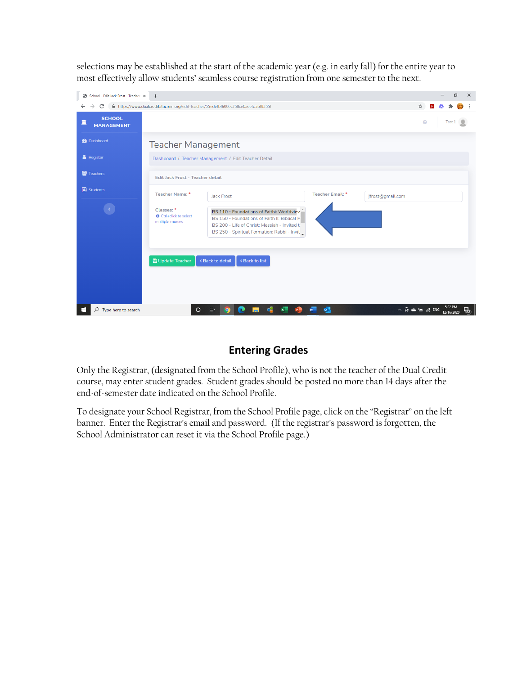selections may be established at the start of the academic year (e.g. in early fall) for the entire year to most effectively allow students' seamless course registration from one semester to the next.



#### **Entering Grades**

Only the Registrar, (designated from the School Profile), who is not the teacher of the Dual Credit course, may enter student grades. Student grades should be posted no more than 14 days after the end-of-semester date indicated on the School Profile.

To designate your School Registrar, from the School Profile page, click on the "Registrar" on the left banner. Enter the Registrar's email and password. (If the registrar's password is forgotten, the School Administrator can reset it via the School Profile page.)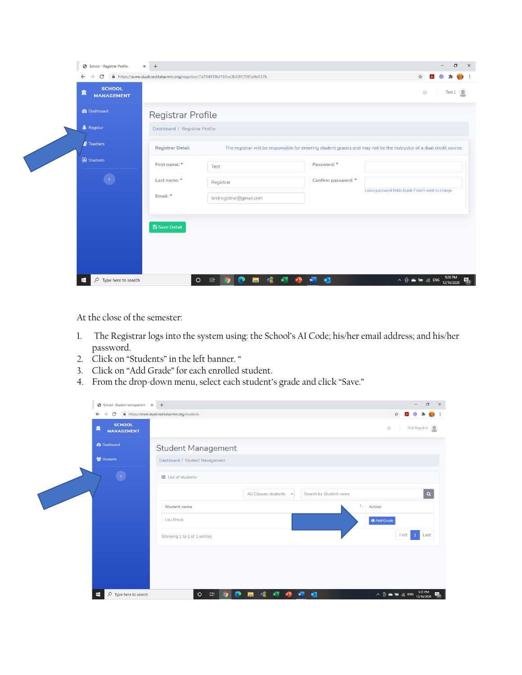| School - Registrar Profile                                   | $\times$ +                    |                                                                                |                     | $\times$<br>O                                                                                                        |
|--------------------------------------------------------------|-------------------------------|--------------------------------------------------------------------------------|---------------------|----------------------------------------------------------------------------------------------------------------------|
| C<br>$\leftarrow$<br><b>SCHOOL</b><br>童<br><b>MANAGEMENT</b> |                               | ■ https://www.dualcreditatacmin.org/registrar/7d784418bf161ee3bf2f57595a9e537b |                     | ☆<br>$\odot$<br>Test 1                                                                                               |
| <b>B</b> Dashboard                                           | <b>Registrar Profile</b>      |                                                                                |                     |                                                                                                                      |
| <b>&amp;</b> Registar                                        | Dashboard / Registrar Profile |                                                                                |                     |                                                                                                                      |
| Feachers                                                     | <b>Registrar Detail</b>       |                                                                                |                     | The registrar will be responsible for entering student grades and may not be the instructor of a dual credit course. |
| Students                                                     | First name: *                 | Test                                                                           | Password: *         |                                                                                                                      |
|                                                              | Last name: *                  | Registrar                                                                      | Confirm password: * |                                                                                                                      |
|                                                              | Email: *                      | testregistrar@gmail.com                                                        |                     | Leave password fields blank if don't want to change.                                                                 |
|                                                              |                               |                                                                                |                     |                                                                                                                      |
|                                                              | <b>A</b> Save Detail          |                                                                                |                     |                                                                                                                      |
|                                                              |                               |                                                                                |                     |                                                                                                                      |
|                                                              |                               |                                                                                |                     |                                                                                                                      |
| H<br>$O$ Type here to search                                 | $\circ$                       | $\triangleleft$<br>$x =$<br>Ħ<br>r<br>ы<br><b>PB</b>                           | W<br>$\bullet$      | $\land$ $\odot$ $\bullet$ $\bullet$ $\circ$ $\circ$ ENG 320 PM<br>$\overline{z_2}$                                   |

At the close of the semester:

- 1. The Registrar logs into the system using: the School's AI Code; his/her email address; and his/her password.
- 2. Click on "Students" in the left banner. "
- 3. Click on "Add Grade" for each enrolled student.
- 4. From the drop-down menu, select each student's grade and click "Save."

| School - Student management X +                                                                  |                                            |                                                |                        |                                    | Θ<br>$\times$                  |  |
|--------------------------------------------------------------------------------------------------|--------------------------------------------|------------------------------------------------|------------------------|------------------------------------|--------------------------------|--|
| $\rightarrow$<br>fil https://www.dualcreditatacmin.org/students<br>C<br>$\leftarrow$<br>☆<br>557 |                                            |                                                |                        |                                    |                                |  |
| <b>SCHOOL</b><br>面<br><b>MANAGEMENT</b>                                                          |                                            |                                                |                        | $\odot$                            | Test Registrar<br>$\mathbf{R}$ |  |
| <b>B</b> Dashboard                                                                               | <b>Student Management</b>                  |                                                |                        |                                    |                                |  |
| Students                                                                                         | Dashboard / Student Management             |                                                |                        |                                    |                                |  |
| $\langle \cdot \rangle$                                                                          | <b>EE</b> List of students                 |                                                |                        |                                    |                                |  |
|                                                                                                  |                                            | All Classes students v                         | Search by Student name |                                    | $\alpha$                       |  |
|                                                                                                  | <b>Student name</b>                        |                                                | $T+$                   | Action                             |                                |  |
|                                                                                                  | <b>Lou Brock</b>                           |                                                |                        | <b>O</b> Add Grade                 |                                |  |
|                                                                                                  | Showing 1 to 1 of 1 entries                |                                                |                        |                                    | First 1 Last                   |  |
|                                                                                                  |                                            |                                                |                        |                                    |                                |  |
|                                                                                                  |                                            |                                                |                        |                                    |                                |  |
|                                                                                                  |                                            |                                                |                        |                                    |                                |  |
| $\rho$ Type here to search<br>H                                                                  | $\vert \vert$<br>$\circ$<br>e<br>$\bullet$ | $\mathbf{S}$ $\mathbf{x}$<br>$\mathbf{r}$<br>ы | $W = 0$                | $\land$ $\oplus$ $\oplus$ $\#$ ENG | 5:31 PM<br>12/16/2020<br>52    |  |